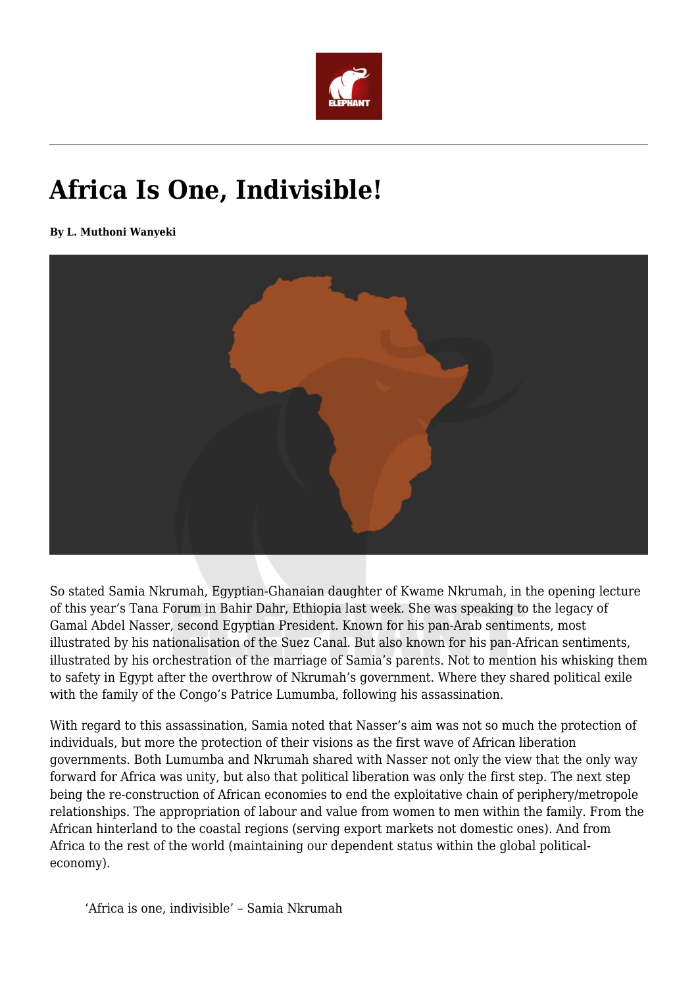

## **Africa Is One, Indivisible!**

**By L. Muthoni Wanyeki**



So stated Samia Nkrumah, Egyptian-Ghanaian daughter of Kwame Nkrumah, in the opening lecture of this year's Tana Forum in Bahir Dahr, Ethiopia last week. She was speaking to the legacy of Gamal Abdel Nasser, second Egyptian President. Known for his pan-Arab sentiments, most illustrated by his nationalisation of the Suez Canal. But also known for his pan-African sentiments, illustrated by his orchestration of the marriage of Samia's parents. Not to mention his whisking them to safety in Egypt after the overthrow of Nkrumah's government. Where they shared political exile with the family of the Congo's Patrice Lumumba, following his assassination.

With regard to this assassination, Samia noted that Nasser's aim was not so much the protection of individuals, but more the protection of their visions as the first wave of African liberation governments. Both Lumumba and Nkrumah shared with Nasser not only the view that the only way forward for Africa was unity, but also that political liberation was only the first step. The next step being the re-construction of African economies to end the exploitative chain of periphery/metropole relationships. The appropriation of labour and value from women to men within the family. From the African hinterland to the coastal regions (serving export markets not domestic ones). And from Africa to the rest of the world (maintaining our dependent status within the global politicaleconomy).

'Africa is one, indivisible' – Samia Nkrumah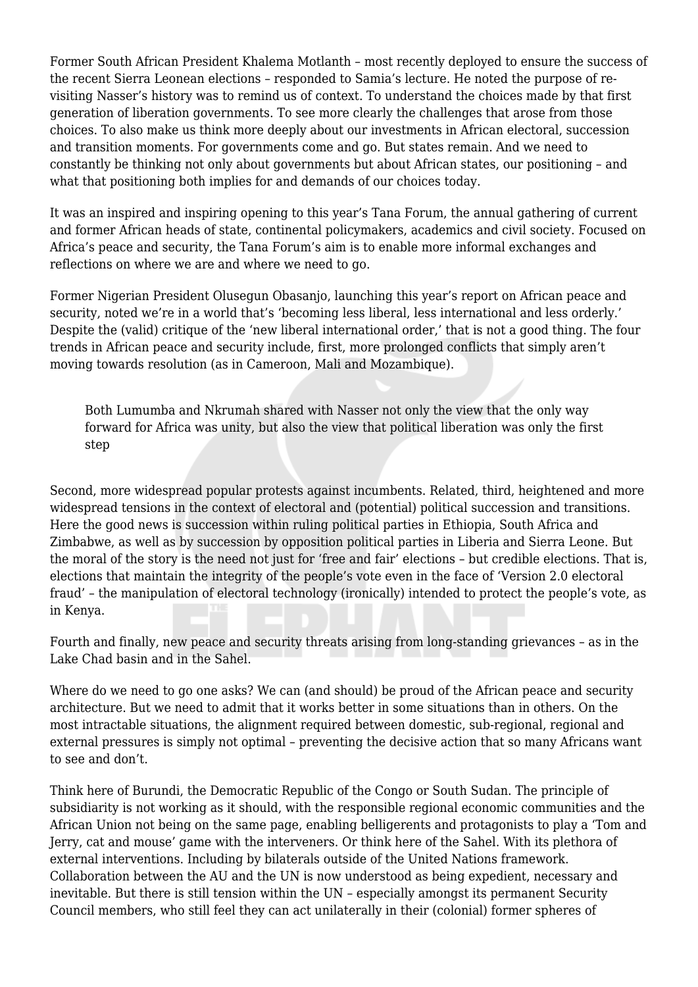Former South African President Khalema Motlanth – most recently deployed to ensure the success of the recent Sierra Leonean elections – responded to Samia's lecture. He noted the purpose of revisiting Nasser's history was to remind us of context. To understand the choices made by that first generation of liberation governments. To see more clearly the challenges that arose from those choices. To also make us think more deeply about our investments in African electoral, succession and transition moments. For governments come and go. But states remain. And we need to constantly be thinking not only about governments but about African states, our positioning – and what that positioning both implies for and demands of our choices today.

It was an inspired and inspiring opening to this year's Tana Forum, the annual gathering of current and former African heads of state, continental policymakers, academics and civil society. Focused on Africa's peace and security, the Tana Forum's aim is to enable more informal exchanges and reflections on where we are and where we need to go.

Former Nigerian President Olusegun Obasanjo, launching this year's report on African peace and security, noted we're in a world that's 'becoming less liberal, less international and less orderly.' Despite the (valid) critique of the 'new liberal international order,' that is not a good thing. The four trends in African peace and security include, first, more prolonged conflicts that simply aren't moving towards resolution (as in Cameroon, Mali and Mozambique).

Both Lumumba and Nkrumah shared with Nasser not only the view that the only way forward for Africa was unity, but also the view that political liberation was only the first step

Second, more widespread popular protests against incumbents. Related, third, heightened and more widespread tensions in the context of electoral and (potential) political succession and transitions. Here the good news is succession within ruling political parties in Ethiopia, South Africa and Zimbabwe, as well as by succession by opposition political parties in Liberia and Sierra Leone. But the moral of the story is the need not just for 'free and fair' elections – but credible elections. That is, elections that maintain the integrity of the people's vote even in the face of 'Version 2.0 electoral fraud' – the manipulation of electoral technology (ironically) intended to protect the people's vote, as in Kenya.

Fourth and finally, new peace and security threats arising from long-standing grievances – as in the Lake Chad basin and in the Sahel.

Where do we need to go one asks? We can (and should) be proud of the African peace and security architecture. But we need to admit that it works better in some situations than in others. On the most intractable situations, the alignment required between domestic, sub-regional, regional and external pressures is simply not optimal – preventing the decisive action that so many Africans want to see and don't.

Think here of Burundi, the Democratic Republic of the Congo or South Sudan. The principle of subsidiarity is not working as it should, with the responsible regional economic communities and the African Union not being on the same page, enabling belligerents and protagonists to play a 'Tom and Jerry, cat and mouse' game with the interveners. Or think here of the Sahel. With its plethora of external interventions. Including by bilaterals outside of the United Nations framework. Collaboration between the AU and the UN is now understood as being expedient, necessary and inevitable. But there is still tension within the UN – especially amongst its permanent Security Council members, who still feel they can act unilaterally in their (colonial) former spheres of